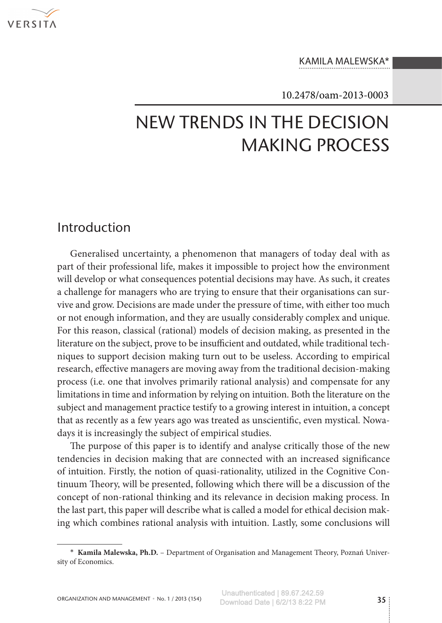

#### Kamila Malewska\*

#### 10.2478/oam-2013-0003

# New Trends in the Decision Making Process

### Introduction

Generalised uncertainty, a phenomenon that managers of today deal with as part of their professional life, makes it impossible to project how the environment will develop or what consequences potential decisions may have. As such, it creates a challenge for managers who are trying to ensure that their organisations can sur– vive and grow. Decisions are made under the pressure of time, with either too much or not enough information, and they are usually considerably complex and unique. For this reason, classical (rational) models of decision making, as presented in the literature on the subject, prove to be insufficient and outdated, while traditional techniques to support decision making turn out to be useless. According to empirical research, effective managers are moving away from the traditional decision-making process (i.e. one that involves primarily rational analysis) and compensate for any limitations in time and information by relying on intuition. Both the literature on the subject and management practice testify to a growing interest in intuition, a concept that as recently as a few years ago was treated as unscientific, even mystical. Nowadays it is increasingly the subject of empirical studies.

The purpose of this paper is to identify and analyse critically those of the new tendencies in decision making that are connected with an increased significance of intuition. Firstly, the notion of quasi-rationality, utilized in the Cognitive Con‑ tinuum Theory, will be presented, following which there will be a discussion of the concept of non-rational thinking and its relevance in decision making process. In the last part, this paper will describe what is called a model for ethical decision mak‑ ing which combines rational analysis with intuition. Lastly, some conclusions will

<sup>∗</sup> **Kamila Malewska, Ph.D.** – Department of Organisation and Management Theory, Poznań Univer‑ sity of Economics.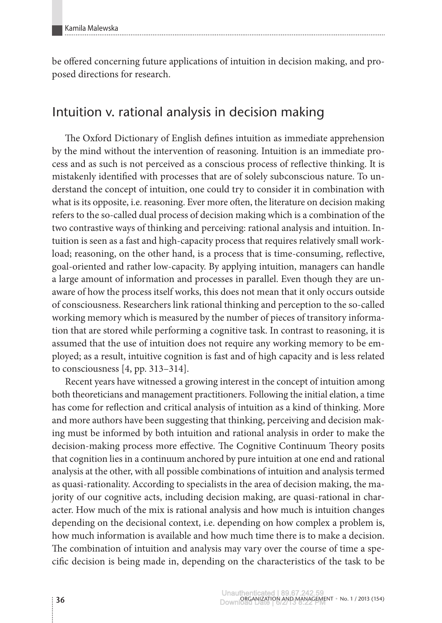be offered concerning future applications of intuition in decision making, and proposed directions for research.

## Intuition v. rational analysis in decision making

The Oxford Dictionary of English defines intuition as immediate apprehension by the mind without the intervention of reasoning. Intuition is an immediate process and as such is not perceived as a conscious process of reflective thinking. It is mistakenly identified with processes that are of solely subconscious nature. To understand the concept of intuition, one could try to consider it in combination with what is its opposite, i.e. reasoning. Ever more often, the literature on decision making refers to the so-called dual process of decision making which is a combination of the two contrastive ways of thinking and perceiving: rational analysis and intuition. Intuition is seen as a fast and high-capacity process that requires relatively small workload; reasoning, on the other hand, is a process that is time-consuming, reflective, goal-oriented and rather low-capacity. By applying intuition, managers can handle a large amount of information and processes in parallel. Even though they are unaware of how the process itself works, this does not mean that it only occurs outside of consciousness. Researchers link rational thinking and perception to the so-called working memory which is measured by the number of pieces of transitory information that are stored while performing a cognitive task. In contrast to reasoning, it is assumed that the use of intuition does not require any working memory to be em‑ ployed; as a result, intuitive cognition is fast and of high capacity and is less related to consciousness [4, pp. 313–314].

Recent years have witnessed a growing interest in the concept of intuition among both theoreticians and management practitioners. Following the initial elation, a time has come for reflection and critical analysis of intuition as a kind of thinking. More and more authors have been suggesting that thinking, perceiving and decision making must be informed by both intuition and rational analysis in order to make the decision-making process more effective. The Cognitive Continuum Theory posits that cognition lies in a continuum anchored by pure intuition at one end and rational analysis at the other, with all possible combinations of intuition and analysis termed as quasi-rationality. According to specialists in the area of decision making, the majority of our cognitive acts, including decision making, are quasi-rational in character. How much of the mix is rational analysis and how much is intuition changes depending on the decisional context, i.e. depending on how complex a problem is, how much information is available and how much time there is to make a decision. The combination of intuition and analysis may vary over the course of time a specific decision is being made in, depending on the characteristics of the task to be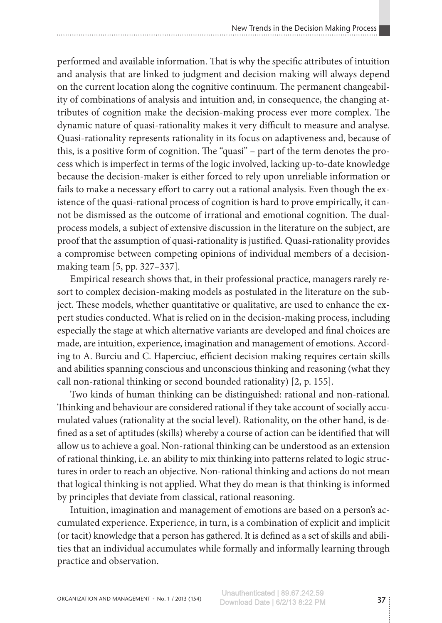performed and available information. That is why the specific attributes of intuition and analysis that are linked to judgment and decision making will always depend on the current location along the cognitive continuum. The permanent changeability of combinations of analysis and intuition and, in consequence, the changing attributes of cognition make the decision-making process ever more complex. The dynamic nature of quasi-rationality makes it very difficult to measure and analyse. Quasi-rationality represents rationality in its focus on adaptiveness and, because of this, is a positive form of cognition. The "quasi" – part of the term denotes the process which is imperfect in terms of the logic involved, lacking up-to-date knowledge because the decision-maker is either forced to rely upon unreliable information or fails to make a necessary effort to carry out a rational analysis. Even though the existence of the quasi-rational process of cognition is hard to prove empirically, it cannot be dismissed as the outcome of irrational and emotional cognition. The dualprocess models, a subject of extensive discussion in the literature on the subject, are proof that the assumption of quasi-rationality is justified. Quasi-rationality provides a compromise between competing opinions of individual members of a decisionmaking team [5, pp. 327–337].

Empirical research shows that, in their professional practice, managers rarely re‑ sort to complex decision-making models as postulated in the literature on the subject. These models, whether quantitative or qualitative, are used to enhance the expert studies conducted. What is relied on in the decision-making process, including especially the stage at which alternative variants are developed and final choices are made, are intuition, experience, imagination and management of emotions. According to A. Burciu and C. Haperciuc, efficient decision making requires certain skills and abilities spanning conscious and unconscious thinking and reasoning (what they call non-rational thinking or second bounded rationality) [2, p. 155].

Two kinds of human thinking can be distinguished: rational and non-rational. Thinking and behaviour are considered rational if they take account of socially accumulated values (rationality at the social level). Rationality, on the other hand, is de‑ fined as a set of aptitudes (skills) whereby a course of action can be identified that will allow us to achieve a goal. Non-rational thinking can be understood as an extension of rational thinking, i.e. an ability to mix thinking into patterns related to logic structures in order to reach an objective. Non-rational thinking and actions do not mean that logical thinking is not applied. What they do mean is that thinking is informed by principles that deviate from classical, rational reasoning.

Intuition, imagination and management of emotions are based on a person's accumulated experience. Experience, in turn, is a combination of explicit and implicit (or tacit) knowledge that a person has gathered. It is defined as a set of skills and abilities that an individual accumulates while formally and informally learning through practice and observation.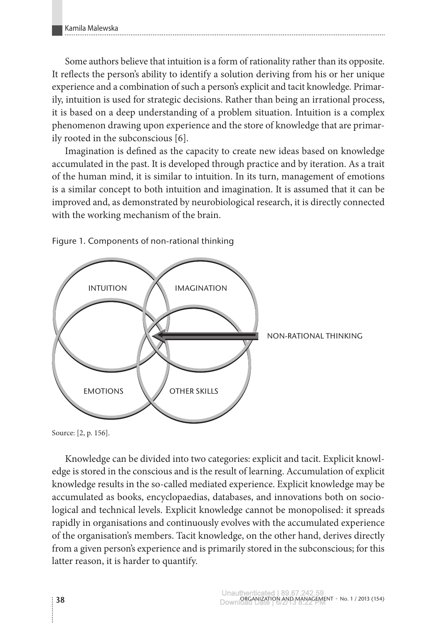Some authors believe that intuition is a form of rationality rather than its opposite. It reflects the person's ability to identify a solution deriving from his or her unique experience and a combination of such a person's explicit and tacit knowledge. Primarily, intuition is used for strategic decisions. Rather than being an irrational process, it is based on a deep understanding of a problem situation. Intuition is a complex phenomenon drawing upon experience and the store of knowledge that are primar‑ ily rooted in the subconscious [6].

Imagination is defined as the capacity to create new ideas based on knowledge accumulated in the past. It is developed through practice and by iteration. As a trait of the human mind, it is similar to intuition. In its turn, management of emotions is a similar concept to both intuition and imagination. It is assumed that it can be improved and, as demonstrated by neurobiological research, it is directly connected with the working mechanism of the brain.



Figure 1. Components of non-rational thinking

Source: [2, p. 156].

Knowledge can be divided into two categories: explicit and tacit. Explicit knowl– edge is stored in the conscious and is the result of learning. Accumulation of explicit knowledge results in the so-called mediated experience. Explicit knowledge may be accumulated as books, encyclopaedias, databases, and innovations both on sociological and technical levels. Explicit knowledge cannot be monopolised: it spreads rapidly in organisations and continuously evolves with the accumulated experience of the organisation's members. Tacit knowledge, on the other hand, derives directly from a given person's experience and is primarily stored in the subconscious; for this latter reason, it is harder to quantify.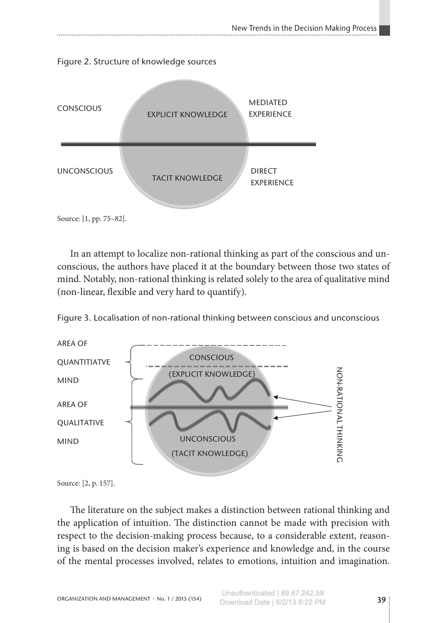Figure 2. Structure of knowledge sources



In an attempt to localize non-rational thinking as part of the conscious and unconscious, the authors have placed it at the boundary between those two states of mind. Notably, non-rational thinking is related solely to the area of qualitative mind (non-linear, flexible and very hard to quantify).



Figure 3. Localisation of non-rational thinking between conscious and unconscious

Source: [2, p. 157].

The literature on the subject makes a distinction between rational thinking and the application of intuition. The distinction cannot be made with precision with respect to the decision-making process because, to a considerable extent, reasoning is based on the decision maker's experience and knowledge and, in the course of the mental processes involved, relates to emotions, intuition and imagination.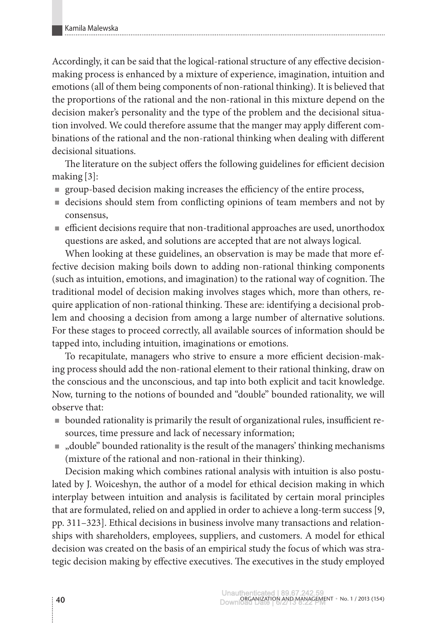Accordingly, it can be said that the logical-rational structure of any effective decisionmaking process is enhanced by a mixture of experience, imagination, intuition and emotions (all of them being components of non-rational thinking). It is believed that the proportions of the rational and the non-rational in this mixture depend on the decision maker's personality and the type of the problem and the decisional situation involved. We could therefore assume that the manger may apply different com‑ binations of the rational and the non-rational thinking when dealing with different decisional situations.

The literature on the subject offers the following guidelines for efficient decision making [3]:

- group-based decision making increases the efficiency of the entire process,
- decisions should stem from conflicting opinions of team members and not by consensus,
- efficient decisions require that non-traditional approaches are used, unorthodox questions are asked, and solutions are accepted that are not always logical.

When looking at these guidelines, an observation is may be made that more effective decision making boils down to adding non-rational thinking components (such as intuition, emotions, and imagination) to the rational way of cognition. The traditional model of decision making involves stages which, more than others, require application of non-rational thinking. These are: identifying a decisional problem and choosing a decision from among a large number of alternative solutions. For these stages to proceed correctly, all available sources of information should be tapped into, including intuition, imaginations or emotions.

To recapitulate, managers who strive to ensure a more efficient decision-making process should add the non-rational element to their rational thinking, draw on the conscious and the unconscious, and tap into both explicit and tacit knowledge. Now, turning to the notions of bounded and "double" bounded rationality, we will observe that:

- bounded rationality is primarily the result of organizational rules, insufficient re– sources, time pressure and lack of necessary information;
- $\blacksquare$ , double" bounded rationality is the result of the managers' thinking mechanisms (mixture of the rational and non-rational in their thinking).

Decision making which combines rational analysis with intuition is also postulated by J. Woiceshyn, the author of a model for ethical decision making in which interplay between intuition and analysis is facilitated by certain moral principles that are formulated, relied on and applied in order to achieve a long-term success [9, pp. 311–323]. Ethical decisions in business involve many transactions and relationships with shareholders, employees, suppliers, and customers. A model for ethical decision was created on the basis of an empirical study the focus of which was strategic decision making by effective executives. The executives in the study employed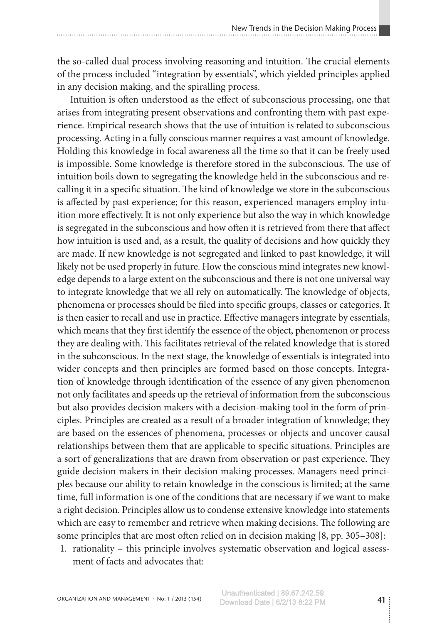the so-called dual process involving reasoning and intuition. The crucial elements of the process included "integration by essentials'', which yielded principles applied in any decision making, and the spiralling process.

Intuition is often understood as the effect of subconscious processing, one that arises from integrating present observations and confronting them with past experience. Empirical research shows that the use of intuition is related to subconscious processing. Acting in a fully conscious manner requires a vast amount of knowledge. Holding this knowledge in focal awareness all the time so that it can be freely used is impossible. Some knowledge is therefore stored in the subconscious. The use of intuition boils down to segregating the knowledge held in the subconscious and recalling it in a specific situation. The kind of knowledge we store in the subconscious is affected by past experience; for this reason, experienced managers employ intuition more effectively. It is not only experience but also the way in which knowledge is segregated in the subconscious and how often it is retrieved from there that affect how intuition is used and, as a result, the quality of decisions and how quickly they are made. If new knowledge is not segregated and linked to past knowledge, it will likely not be used properly in future. How the conscious mind integrates new knowledge depends to a large extent on the subconscious and there is not one universal way to integrate knowledge that we all rely on automatically. The knowledge of objects, phenomena or processes should be filed into specific groups, classes or categories. It is then easier to recall and use in practice. Effective managers integrate by essentials, which means that they first identify the essence of the object, phenomenon or process they are dealing with. This facilitates retrieval of the related knowledge that is stored in the subconscious. In the next stage, the knowledge of essentials is integrated into wider concepts and then principles are formed based on those concepts. Integration of knowledge through identification of the essence of any given phenomenon not only facilitates and speeds up the retrieval of information from the subconscious but also provides decision makers with a decision-making tool in the form of principles. Principles are created as a result of a broader integration of knowledge; they are based on the essences of phenomena, processes or objects and uncover causal relationships between them that are applicable to specific situations. Principles are a sort of generalizations that are drawn from observation or past experience. They guide decision makers in their decision making processes. Managers need principles because our ability to retain knowledge in the conscious is limited; at the same time, full information is one of the conditions that are necessary if we want to make a right decision. Principles allow us to condense extensive knowledge into statements which are easy to remember and retrieve when making decisions. The following are some principles that are most often relied on in decision making [8, pp. 305–308]:

1. rationality – this principle involves systematic observation and logical assessment of facts and advocates that: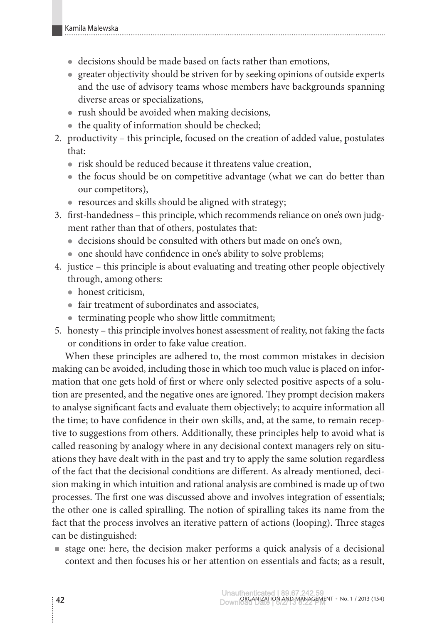- decisions should be made based on facts rather than emotions,
- greater objectivity should be striven for by seeking opinions of outside experts and the use of advisory teams whose members have backgrounds spanning diverse areas or specializations,
- rush should be avoided when making decisions,
- $\bullet$  the quality of information should be checked;
- 2. productivity this principle, focused on the creation of added value, postulates that:
	- $\bullet$  risk should be reduced because it threatens value creation,
	- the focus should be on competitive advantage (what we can do better than our competitors),
	- $\bullet$  resources and skills should be aligned with strategy;
- 3. first-handedness this principle, which recommends reliance on one's own judgment rather than that of others, postulates that:
	- decisions should be consulted with others but made on one's own,
	- one should have confidence in one's ability to solve problems;
- 4. justice this principle is about evaluating and treating other people objectively through, among others:
	- honest criticism,
	- $\bullet$  fair treatment of subordinates and associates,
	- $\bullet$  terminating people who show little commitment;
- 5. honesty this principle involves honest assessment of reality, not faking the facts or conditions in order to fake value creation.

When these principles are adhered to, the most common mistakes in decision making can be avoided, including those in which too much value is placed on information that one gets hold of first or where only selected positive aspects of a solution are presented, and the negative ones are ignored. They prompt decision makers to analyse significant facts and evaluate them objectively; to acquire information all the time; to have confidence in their own skills, and, at the same, to remain receptive to suggestions from others. Additionally, these principles help to avoid what is called reasoning by analogy where in any decisional context managers rely on situ– ations they have dealt with in the past and try to apply the same solution regardless of the fact that the decisional conditions are different. As already mentioned, decision making in which intuition and rational analysis are combined is made up of two processes. The first one was discussed above and involves integration of essentials; the other one is called spiralling. The notion of spiralling takes its name from the fact that the process involves an iterative pattern of actions (looping). Three stages can be distinguished:

 stage one: here, the decision maker performs a quick analysis of a decisional context and then focuses his or her attention on essentials and facts; as a result,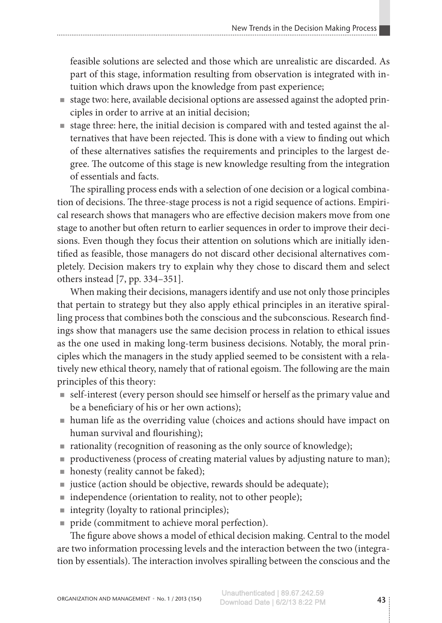feasible solutions are selected and those which are unrealistic are discarded. As part of this stage, information resulting from observation is integrated with intuition which draws upon the knowledge from past experience;

- stage two: here, available decisional options are assessed against the adopted principles in order to arrive at an initial decision;
- stage three: here, the initial decision is compared with and tested against the alternatives that have been rejected. This is done with a view to finding out which of these alternatives satisfies the requirements and principles to the largest de‑ gree. The outcome of this stage is new knowledge resulting from the integration of essentials and facts.

The spiralling process ends with a selection of one decision or a logical combination of decisions. The three-stage process is not a rigid sequence of actions. Empirical research shows that managers who are effective decision makers move from one stage to another but often return to earlier sequences in order to improve their decisions. Even though they focus their attention on solutions which are initially identified as feasible, those managers do not discard other decisional alternatives completely. Decision makers try to explain why they chose to discard them and select others instead [7, pp. 334–351].

When making their decisions, managers identify and use not only those principles that pertain to strategy but they also apply ethical principles in an iterative spiralling process that combines both the conscious and the subconscious. Research findings show that managers use the same decision process in relation to ethical issues as the one used in making long-term business decisions. Notably, the moral principles which the managers in the study applied seemed to be consistent with a relatively new ethical theory, namely that of rational egoism. The following are the main principles of this theory:

- self-interest (every person should see himself or herself as the primary value and be a beneficiary of his or her own actions);
- human life as the overriding value (choices and actions should have impact on human survival and flourishing);
- rationality (recognition of reasoning as the only source of knowledge);
- productiveness (process of creating material values by adjusting nature to man);
- honesty (reality cannot be faked);
- justice (action should be objective, rewards should be adequate);
- independence (orientation to reality, not to other people);
- integrity (loyalty to rational principles);
- pride (commitment to achieve moral perfection).

The figure above shows a model of ethical decision making. Central to the model are two information processing levels and the interaction between the two (integration by essentials). The interaction involves spiralling between the conscious and the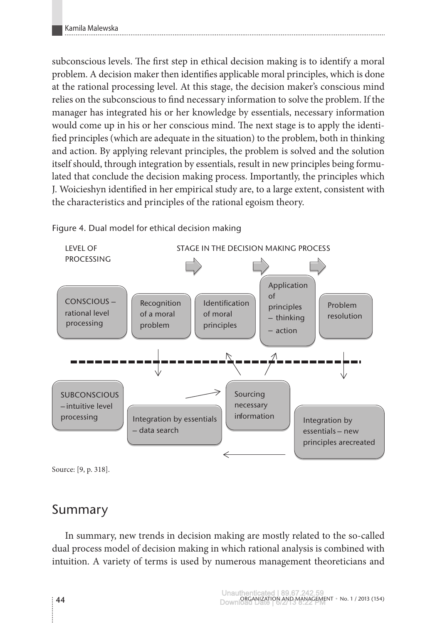subconscious levels. The first step in ethical decision making is to identify a moral problem. A decision maker then identifies applicable moral principles, which is done at the rational processing level. At this stage, the decision maker's conscious mind relies on the subconscious to find necessary information to solve the problem. If the manager has integrated his or her knowledge by essentials, necessary information would come up in his or her conscious mind. The next stage is to apply the identified principles (which are adequate in the situation) to the problem, both in thinking and action. By applying relevant principles, the problem is solved and the solution itself should, through integration by essentials, result in new principles being formulated that conclude the decision making process. Importantly, the principles which J. Woicieshyn identified in her empirical study are, to a large extent, consistent with the characteristics and principles of the rational egoism theory.



Figure 4. Dual model for ethical decision making

# Summary

In summary, new trends in decision making are mostly related to the so-called dual process model of decision making in which rational analysis is combined with intuition. A variety of terms is used by numerous management theoreticians and

Source: [9, p. 318].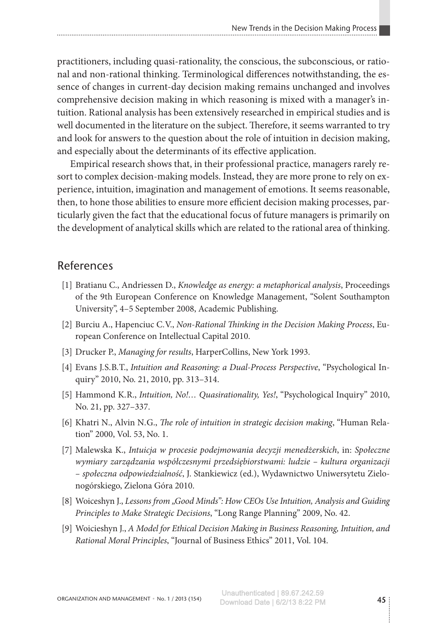practitioners, including quasi-rationality, the conscious, the subconscious, or rational and non-rational thinking. Terminological differences notwithstanding, the essence of changes in current-day decision making remains unchanged and involves comprehensive decision making in which reasoning is mixed with a manager's intuition. Rational analysis has been extensively researched in empirical studies and is well documented in the literature on the subject. Therefore, it seems warranted to try and look for answers to the question about the role of intuition in decision making, and especially about the determinants of its effective application.

Empirical research shows that, in their professional practice, managers rarely resort to complex decision-making models. Instead, they are more prone to rely on experience, intuition, imagination and management of emotions. It seems reasonable, then, to hone those abilities to ensure more efficient decision making processes, par‑ ticularly given the fact that the educational focus of future managers is primarily on the development of analytical skills which are related to the rational area of thinking.

### References

- [1] Bratianu C., Andriessen D., *Knowledge as energy: a metaphorical analysis*, Proceedings of the 9th European Conference on Knowledge Management, "Solent Southampton University", 4–5 September 2008, Academic Publishing.
- [2] Burciu A., Hapenciuc C.V., *Non-Rational Thinking in the Decision Making Process*, Eu‑ ropean Conference on Intellectual Capital 2010.
- [3] Drucker P., *Managing for results*, HarperCollins, New York 1993.
- [4] Evans J. S. B.T., *Intuition and Reasoning: a Dual-Process Perspective*, "Psychological In‑ quiry" 2010, No. 21, 2010, pp. 313–314.
- [5] Hammond K. R., *Intuition, No!… Quasirationality, Yes!*, "Psychological Inquiry" 2010, No. 21, pp. 327–337.
- [6] Khatri N., Alvin N.G., *The role of intuition in strategic decision making*, "Human Rela‑ tion" 2000, Vol. 53, No. 1.
- [7] Malewska K., *Intuicja w procesie podejmowania decyzji menedżerskich*, in: *Społeczne wymiary zarządzania współczesnymi przedsiębiorstwami: ludzie – kultura organizacji – społeczna odpowiedzialność*, J. Stankiewicz (ed.), Wydawnictwo Uniwersytetu Zielo‑ nogórskiego, Zielona Góra 2010.
- [8] Woiceshyn J., *Lessons from "Good Minds": How CEOs Use Intuition, Analysis and Guiding Principles to Make Strategic Decisions*, "Long Range Planning" 2009, No. 42.
- [9] Woicieshyn J., *A Model for Ethical Decision Making in Business Reasoning, Intuition, and Rational Moral Principles*, "Journal of Business Ethics" 2011, Vol. 104.